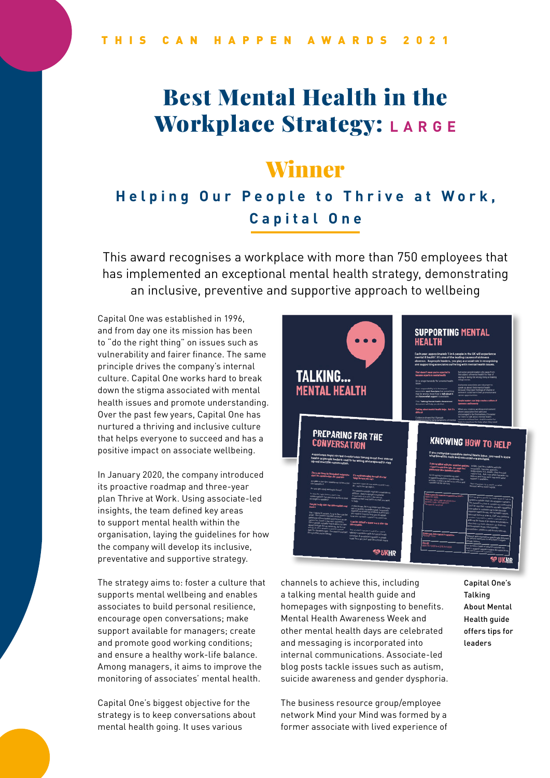# Best Mental Health in the **Workplace Strategy: LARGE**

## Winner

## **Helping Our People to Thrive at Work, Capital One**

This award recognises a workplace with more than 750 employees that has implemented an exceptional mental health strategy, demonstrating an inclusive, preventive and supportive approach to wellbeing

Capital One was established in 1996, and from day one its mission has been to "do the right thing" on issues such as vulnerability and fairer finance. The same principle drives the company's internal culture. Capital One works hard to break down the stigma associated with mental health issues and promote understanding. Over the past few years, Capital One has nurtured a thriving and inclusive culture that helps everyone to succeed and has a positive impact on associate wellbeing.

In January 2020, the company introduced its proactive roadmap and three-year plan Thrive at Work. Using associate-led insights, the team defined key areas to support mental health within the organisation, laying the guidelines for how the company will develop its inclusive, preventative and supportive strategy.

The strategy aims to: foster a culture that supports mental wellbeing and enables associates to build personal resilience, encourage open conversations; make support available for managers; create and promote good working conditions; and ensure a healthy work-life balance. Among managers, it aims to improve the monitoring of associates' mental health.

Capital One's biggest objective for the strategy is to keep conversations about mental health going. It uses various



channels to achieve this, including a talking mental health guide and homepages with signposting to benefits. Mental Health Awareness Week and other mental health days are celebrated and messaging is incorporated into internal communications. Associate-led blog posts tackle issues such as autism, suicide awareness and gender dysphoria.

The business resource group/employee network Mind your Mind was formed by a former associate with lived experience of Capital One's **Talking** About Mental Health guide offers tips for leaders